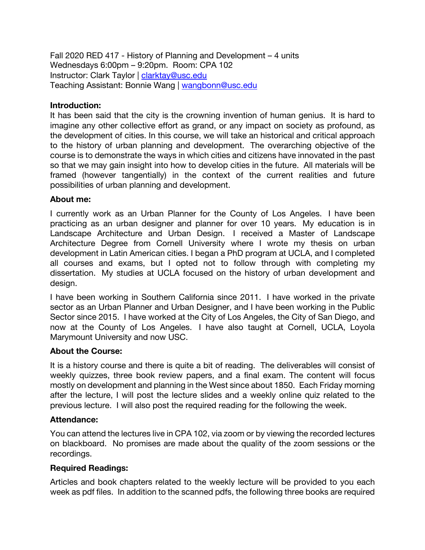Fall 2020 RED 417 - History of Planning and Development – 4 units Wednesdays 6:00pm – 9:20pm. Room: CPA 102 Instructor: Clark Taylor | clarktay@usc.edu Teaching Assistant: Bonnie Wang | wangbonn@usc.edu

#### **Introduction:**

It has been said that the city is the crowning invention of human genius. It is hard to imagine any other collective effort as grand, or any impact on society as profound, as the development of cities. In this course, we will take an historical and critical approach to the history of urban planning and development. The overarching objective of the course is to demonstrate the ways in which cities and citizens have innovated in the past so that we may gain insight into how to develop cities in the future. All materials will be framed (however tangentially) in the context of the current realities and future possibilities of urban planning and development.

#### **About me:**

I currently work as an Urban Planner for the County of Los Angeles. I have been practicing as an urban designer and planner for over 10 years. My education is in Landscape Architecture and Urban Design. I received a Master of Landscape Architecture Degree from Cornell University where I wrote my thesis on urban development in Latin American cities. I began a PhD program at UCLA, and I completed all courses and exams, but I opted not to follow through with completing my dissertation. My studies at UCLA focused on the history of urban development and design.

I have been working in Southern California since 2011. I have worked in the private sector as an Urban Planner and Urban Designer, and I have been working in the Public Sector since 2015. I have worked at the City of Los Angeles, the City of San Diego, and now at the County of Los Angeles. I have also taught at Cornell, UCLA, Loyola Marymount University and now USC.

#### **About the Course:**

It is a history course and there is quite a bit of reading. The deliverables will consist of weekly quizzes, three book review papers, and a final exam. The content will focus mostly on development and planning in the West since about 1850. Each Friday morning after the lecture, I will post the lecture slides and a weekly online quiz related to the previous lecture. I will also post the required reading for the following the week.

## **Attendance:**

You can attend the lectures live in CPA 102, via zoom or by viewing the recorded lectures on blackboard. No promises are made about the quality of the zoom sessions or the recordings.

## **Required Readings:**

Articles and book chapters related to the weekly lecture will be provided to you each week as pdf files. In addition to the scanned pdfs, the following three books are required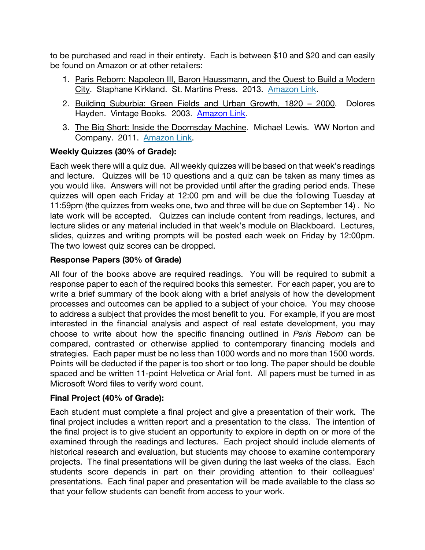to be purchased and read in their entirety. Each is between \$10 and \$20 and can easily be found on Amazon or at other retailers:

- 1. Paris Reborn: Napoleon III, Baron Haussmann, and the Quest to Build a Modern City. Staphane Kirkland. St. Martins Press. 2013. Amazon Link.
- 2. Building Suburbia: Green Fields and Urban Growth, 1820 2000. Dolores Hayden. Vintage Books. 2003. Amazon Link.
- 3. The Big Short: Inside the Doomsday Machine. Michael Lewis. WW Norton and Company. 2011. Amazon Link.

## **Weekly Quizzes (30% of Grade):**

Each week there will a quiz due. All weekly quizzes will be based on that week's readings and lecture. Quizzes will be 10 questions and a quiz can be taken as many times as you would like. Answers will not be provided until after the grading period ends. These quizzes will open each Friday at 12:00 pm and will be due the following Tuesday at 11:59pm (the quizzes from weeks one, two and three will be due on September 14) . No late work will be accepted. Quizzes can include content from readings, lectures, and lecture slides or any material included in that week's module on Blackboard. Lectures, slides, quizzes and writing prompts will be posted each week on Friday by 12:00pm. The two lowest quiz scores can be dropped.

## **Response Papers (30% of Grade)**

All four of the books above are required readings. You will be required to submit a response paper to each of the required books this semester. For each paper, you are to write a brief summary of the book along with a brief analysis of how the development processes and outcomes can be applied to a subject of your choice. You may choose to address a subject that provides the most benefit to you. For example, if you are most interested in the financial analysis and aspect of real estate development, you may choose to write about how the specific financing outlined in *Paris Reborn* can be compared, contrasted or otherwise applied to contemporary financing models and strategies. Each paper must be no less than 1000 words and no more than 1500 words. Points will be deducted if the paper is too short or too long. The paper should be double spaced and be written 11-point Helvetica or Arial font. All papers must be turned in as Microsoft Word files to verify word count.

## **Final Project (40% of Grade):**

Each student must complete a final project and give a presentation of their work. The final project includes a written report and a presentation to the class. The intention of the final project is to give student an opportunity to explore in depth on or more of the examined through the readings and lectures. Each project should include elements of historical research and evaluation, but students may choose to examine contemporary projects. The final presentations will be given during the last weeks of the class. Each students score depends in part on their providing attention to their colleagues' presentations. Each final paper and presentation will be made available to the class so that your fellow students can benefit from access to your work.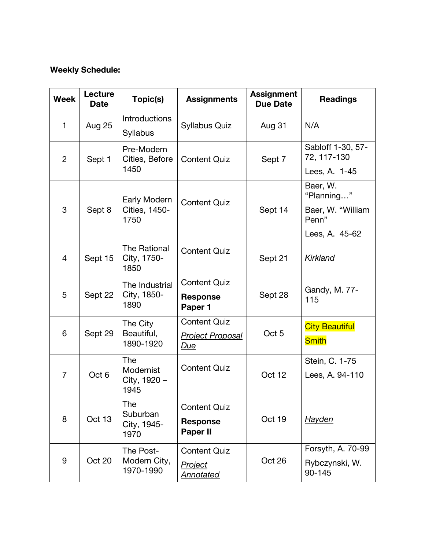# **Weekly Schedule:**

| <b>Week</b>    | Lecture<br><b>Date</b> | Topic(s)                                 | <b>Assignments</b>                 | <b>Assignment</b><br><b>Due Date</b> | <b>Readings</b>                  |
|----------------|------------------------|------------------------------------------|------------------------------------|--------------------------------------|----------------------------------|
| 1              | <b>Aug 25</b>          | <b>Introductions</b><br><b>Syllabus</b>  | <b>Syllabus Quiz</b>               | Aug 31                               | N/A                              |
| $\overline{2}$ | Sept 1                 | Pre-Modern<br>Cities, Before             | <b>Content Quiz</b>                | Sept 7                               | Sabloff 1-30, 57-<br>72, 117-130 |
|                |                        | 1450                                     |                                    |                                      | Lees, A. 1-45                    |
| 3              | Sept 8                 | Early Modern<br>Cities, 1450-<br>1750    | <b>Content Quiz</b>                | Sept 14                              | Baer, W.<br>"Planning"           |
|                |                        |                                          |                                    |                                      | Baer, W. "William<br>Penn"       |
|                |                        |                                          |                                    |                                      | Lees, A. 45-62                   |
| $\overline{4}$ | Sept 15                | The Rational<br>City, 1750-<br>1850      | <b>Content Quiz</b>                | Sept 21                              | Kirkland                         |
| 5              | Sept 22                | The Industrial<br>City, 1850-<br>1890    | <b>Content Quiz</b>                | Sept 28                              | Gandy, M. 77-                    |
|                |                        |                                          | <b>Response</b><br>Paper 1         |                                      | 115                              |
| 6              | Sept 29                | The City<br>Beautiful,<br>1890-1920      | <b>Content Quiz</b>                | Oct <sub>5</sub>                     | <b>City Beautiful</b>            |
|                |                        |                                          | <b>Project Proposal</b><br>Due     |                                      | <b>Smith</b>                     |
| $\overline{7}$ | Oct <sub>6</sub>       | The<br>Modernist<br>City, 1920 -<br>1945 | <b>Content Quiz</b>                | Oct 12                               | Stein, C. 1-75                   |
|                |                        |                                          |                                    |                                      | Lees, A. 94-110                  |
| 8              | Oct 13                 | The<br>Suburban<br>City, 1945-<br>1970   | <b>Content Quiz</b>                | Oct 19                               |                                  |
|                |                        |                                          | <b>Response</b><br><b>Paper II</b> |                                      | Hayden                           |
| 9              | Oct 20                 | The Post-<br>Modern City,<br>1970-1990   | <b>Content Quiz</b>                | Oct 26                               | Forsyth, A. 70-99                |
|                |                        |                                          | <b>Project</b><br><b>Annotated</b> |                                      | Rybczynski, W.<br>90-145         |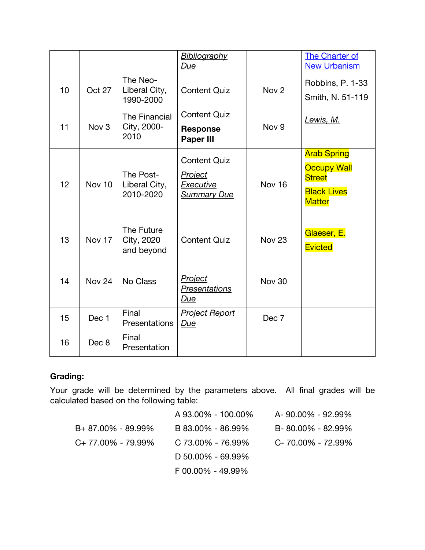|    |                   |                                         | <b>Bibliography</b><br>Due                                                      |                   | The Charter of<br><b>New Urbanism</b>                                                            |
|----|-------------------|-----------------------------------------|---------------------------------------------------------------------------------|-------------------|--------------------------------------------------------------------------------------------------|
| 10 | Oct 27            | The Neo-<br>Liberal City,<br>1990-2000  | <b>Content Quiz</b>                                                             | Nov <sub>2</sub>  | Robbins, P. 1-33<br>Smith, N. 51-119                                                             |
| 11 | Nov <sub>3</sub>  | The Financial<br>City, 2000-<br>2010    | <b>Content Quiz</b><br><b>Response</b><br><b>Paper III</b>                      | Nov <sub>9</sub>  | Lewis, M.                                                                                        |
| 12 | Nov 10            | The Post-<br>Liberal City,<br>2010-2020 | <b>Content Quiz</b><br><b>Project</b><br><b>Executive</b><br><b>Summary Due</b> | <b>Nov 16</b>     | <b>Arab Spring</b><br><b>Occupy Wall</b><br><b>Street</b><br><b>Black Lives</b><br><b>Matter</b> |
| 13 | Nov 17            | The Future<br>City, 2020<br>and beyond  | <b>Content Quiz</b>                                                             | Nov <sub>23</sub> | Glaeser, E.<br><b>Evicted</b>                                                                    |
| 14 | Nov <sub>24</sub> | No Class                                | <b>Project</b><br>Presentations<br>Due                                          | <b>Nov 30</b>     |                                                                                                  |
| 15 | Dec 1             | Final<br>Presentations                  | <b>Project Report</b><br>Due                                                    | Dec 7             |                                                                                                  |
| 16 | Dec 8             | Final<br>Presentation                   |                                                                                 |                   |                                                                                                  |

# **Grading:**

Your grade will be determined by the parameters above. All final grades will be calculated based on the following table:

|                       | A 93.00% - 100.00% | A-90.00% - 92.99% |
|-----------------------|--------------------|-------------------|
| $B+87.00\% - 89.99\%$ | B 83.00% - 86.99%  | B-80.00% - 82.99% |
| $C+77.00\% - 79.99\%$ | C 73.00% - 76.99%  | C-70.00% - 72.99% |
|                       | D 50.00% - 69.99%  |                   |
|                       | F 00.00% - 49.99%  |                   |